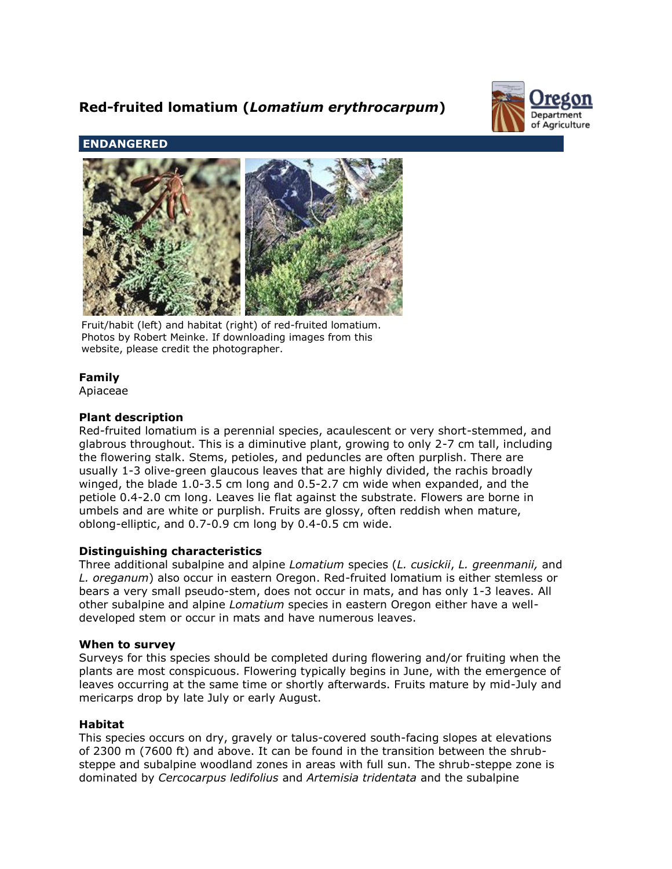# **Red-fruited lomatium (***Lomatium erythrocarpum***)**



## **ENDANGERED**



Fruit/habit (left) and habitat (right) of red-fruited lomatium. Photos by Robert Meinke. If downloading images from this website, please credit the photographer.

## **Family**

Apiaceae

## **Plant description**

Red-fruited lomatium is a perennial species, acaulescent or very short-stemmed, and glabrous throughout. This is a diminutive plant, growing to only 2-7 cm tall, including the flowering stalk. Stems, petioles, and peduncles are often purplish. There are usually 1-3 olive-green glaucous leaves that are highly divided, the rachis broadly winged, the blade 1.0-3.5 cm long and 0.5-2.7 cm wide when expanded, and the petiole 0.4-2.0 cm long. Leaves lie flat against the substrate. Flowers are borne in umbels and are white or purplish. Fruits are glossy, often reddish when mature, oblong-elliptic, and 0.7-0.9 cm long by 0.4-0.5 cm wide.

## **Distinguishing characteristics**

Three additional subalpine and alpine *Lomatium* species (*L. cusickii*, *L. greenmanii,* and *L. oreganum*) also occur in eastern Oregon. Red-fruited lomatium is either stemless or bears a very small pseudo-stem, does not occur in mats, and has only 1-3 leaves. All other subalpine and alpine *Lomatium* species in eastern Oregon either have a welldeveloped stem or occur in mats and have numerous leaves.

## **When to survey**

Surveys for this species should be completed during flowering and/or fruiting when the plants are most conspicuous. Flowering typically begins in June, with the emergence of leaves occurring at the same time or shortly afterwards. Fruits mature by mid-July and mericarps drop by late July or early August.

## **Habitat**

This species occurs on dry, gravely or talus-covered south-facing slopes at elevations of 2300 m (7600 ft) and above. It can be found in the transition between the shrubsteppe and subalpine woodland zones in areas with full sun. The shrub-steppe zone is dominated by *Cercocarpus ledifolius* and *Artemisia tridentata* and the subalpine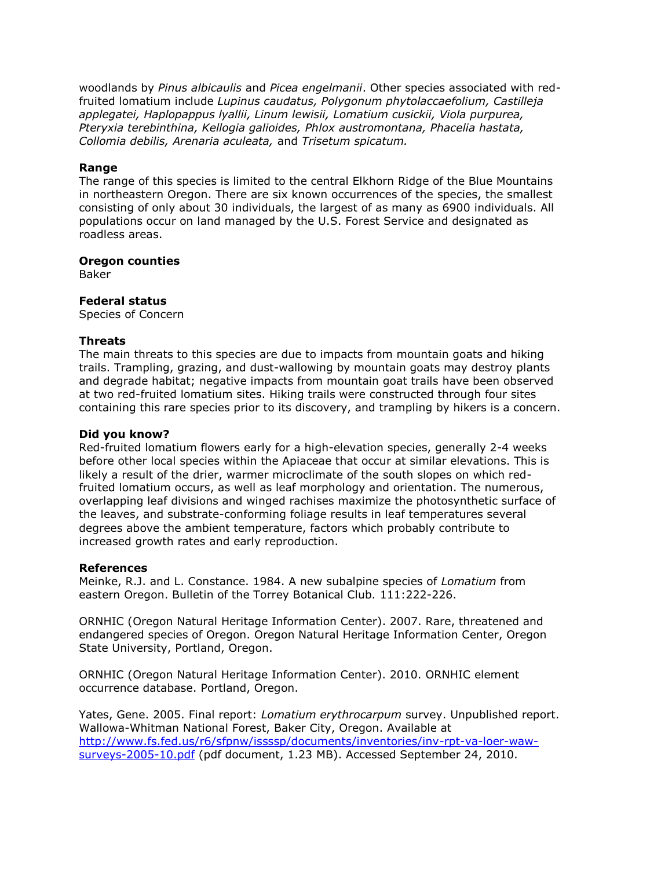woodlands by *Pinus albicaulis* and *Picea engelmanii*. Other species associated with redfruited lomatium include *Lupinus caudatus, Polygonum phytolaccaefolium, Castilleja applegatei, Haplopappus lyallii, Linum lewisii, Lomatium cusickii, Viola purpurea, Pteryxia terebinthina, Kellogia galioides, Phlox austromontana, Phacelia hastata, Collomia debilis, Arenaria aculeata,* and *Trisetum spicatum.*

#### **Range**

The range of this species is limited to the central Elkhorn Ridge of the Blue Mountains in northeastern Oregon. There are six known occurrences of the species, the smallest consisting of only about 30 individuals, the largest of as many as 6900 individuals. All populations occur on land managed by the U.S. Forest Service and designated as roadless areas.

#### **Oregon counties**

Baker

#### **Federal status**

Species of Concern

#### **Threats**

The main threats to this species are due to impacts from mountain goats and hiking trails. Trampling, grazing, and dust-wallowing by mountain goats may destroy plants and degrade habitat; negative impacts from mountain goat trails have been observed at two red-fruited lomatium sites. Hiking trails were constructed through four sites containing this rare species prior to its discovery, and trampling by hikers is a concern.

#### **Did you know?**

Red-fruited lomatium flowers early for a high-elevation species, generally 2-4 weeks before other local species within the Apiaceae that occur at similar elevations. This is likely a result of the drier, warmer microclimate of the south slopes on which redfruited lomatium occurs, as well as leaf morphology and orientation. The numerous, overlapping leaf divisions and winged rachises maximize the photosynthetic surface of the leaves, and substrate-conforming foliage results in leaf temperatures several degrees above the ambient temperature, factors which probably contribute to increased growth rates and early reproduction.

#### **References**

Meinke, R.J. and L. Constance. 1984. A new subalpine species of *Lomatium* from eastern Oregon. Bulletin of the Torrey Botanical Club*.* 111:222-226.

ORNHIC (Oregon Natural Heritage Information Center). 2007. Rare, threatened and endangered species of Oregon. Oregon Natural Heritage Information Center, Oregon State University, Portland, Oregon.

ORNHIC (Oregon Natural Heritage Information Center). 2010. ORNHIC element occurrence database. Portland, Oregon.

Yates, Gene. 2005. Final report: *Lomatium erythrocarpum* survey. Unpublished report. Wallowa-Whitman National Forest, Baker City, Oregon. Available at [http://www.fs.fed.us/r6/sfpnw/issssp/documents/inventories/inv-rpt-va-loer-waw](http://www.fs.fed.us/r6/sfpnw/issssp/documents/inventories/inv-rpt-va-loer-waw-surveys-2005-10.pdf)[surveys-2005-10.pdf](http://www.fs.fed.us/r6/sfpnw/issssp/documents/inventories/inv-rpt-va-loer-waw-surveys-2005-10.pdf) (pdf document, 1.23 MB). Accessed September 24, 2010.